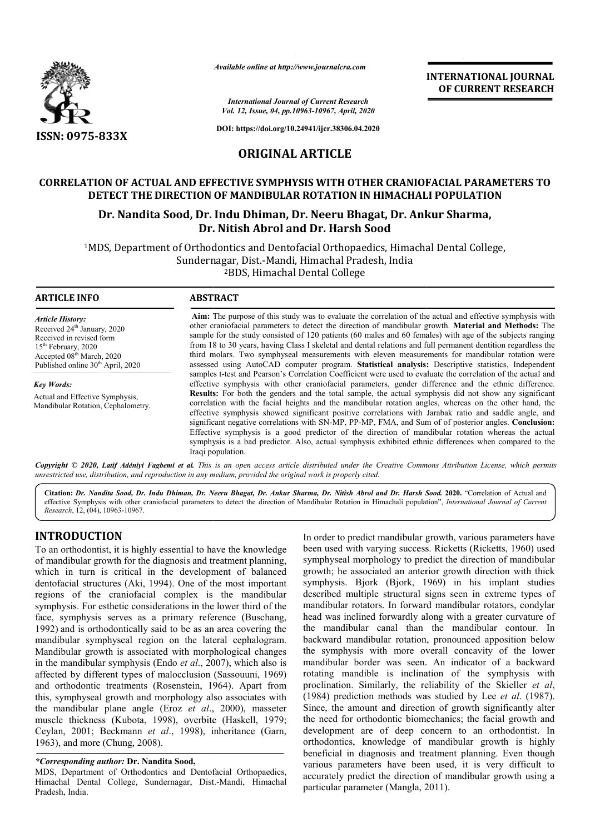

*Available online at http://www.journalcra.com*

*International Journal of Current Research Vol. 12, Issue, 04, pp.10963-10967, April, 2020*

**DOI: https://doi.org/10.24941/ijcr.38306.04.2020**

## **ORIGINAL ARTICLE**

## **CORRELATION OF ACTUAL AND EFFECTIVE SYMPHYSIS WITH OTHER CRANIOFACIAL PARAMETERS TO DETECT THE DIRECTION OF MANDIBULAR ROTATION IN HIMACHALI POPULATION** CORRELATION OF ACTUAL AND EFFECTIVE SYMPHYSIS WITH OTHER CRANIOFACIAL PARAM<br>DETECT THE DIRECTION OF MANDIBULAR ROTATION IN HIMACHALI POPULATION<br>Dr. Nandita Sood, Dr. Indu Dhiman, Dr. Neeru Bhagat, Dr. Ankur Sharma,

# **Dr. Nitish Abrol and Dr. Harsh Sood**

<sup>1</sup>MDS, Department of Orthodontics and Dentofacial Orthopaedics, Himachal Dental College,<br>Sundernagar, Dist.-Mandi, Himachal Pradesh, India Sundernagar, Dist.-Mandi, Himachal Pradesh, India 2BDS, Himachal Dental College

**ARTICLE INFO ABSTRACT Aim:** The purpose of this study was to evaluate the correlation of the actual and effective symphysis with Aim: The purpose of this study was to evaluate the correlation of the actual and effective symphysis with other craniofacial parameters to detect the direction of mandibular growth. Material and Methods: The sample for the study consisted of 120 patients (60 males and 60 females) with age of the subjects ranging from 18 to 30 years, having Class I skeletal and dental relations and full permanent dentition regardless the third molars. Two symphyseal measurements with eleven measurements for mandibular rotation were assessed using AutoCAD computer program. **Statistical analysis:** Descriptive statistics, Independent samples t-test and Pearson's Correlation Coefficient were used to evaluate the correlation of the actual and effective symphysis with other craniofacial parameters, gender difference and the ethnic difference. **Results:** For both the genders and the total sample, the actual symphysis did not show any significant samples t-test and Pearson's Correlation Coefficient were used to evaluate the correlation of the actual and effective symphysis with other craniofacial parameters, gender difference and the ethnic difference.<br>**Results:** F effective symphysis showed significant positive correlations with Jarabak ratio and saddle angle, and effective symphysis showed significant positive correlations with Jarabak ratio and saddle angle, and significant negative correlations with SN-MP, PP-MP, FMA, and Sum of of posterior angles. **Conclusion:** Effective symphysis is a good predictor of the direction of mandibular rotation whereas the actual Effective symphysis is a good predictor of the direction of mandibular rotation whereas the actual symphysis is a bad predictor. Also, actual symphysis exhibited ethnic differences when compared to the Iraqi population. *Article History:* Received 24<sup>th</sup> January, 2020 Received in revised form 15th February, 2020 Accepted 08<sup>th</sup> March, 2020 Published online 30<sup>th</sup> April, 2020 *Key Words:* Actual and Effective Symphysis, Mandibular Rotation, Cephalometry. sample for the study consisted of 120 patients (60 males and 60 females) with age of the subjects ranging<br>from 18 to 30 years, having Class I skeletal and dental relations and full permanent dentition regardless the<br>third

Copyright © 2020, Latif Adéniyi Fagbemi et al. This is an open access article distributed under the Creative Commons Attribution License, which permits *unrestricted use, distribution, and reproduction in any medium, provided the original work is properly cited.*

Citation: Dr. Nandita Sood, Dr. Indu Dhiman, Dr. Neeru Bhagat, Dr. Ankur Sharma, Dr. Nitish Abrol and Dr. Harsh Sood. 2020. "Correlation of Actual and effective Symphysis with other craniofacial parameters to detect the direction of Mandibular Rotation in Himachali population population", *International Journal of CurrentResearch*, 12, (04), 10963-10967.

## **INTRODUCTION**

To an orthodontist, it is highly essential to have the knowledge of mandibular growth for the diagnosis and treatment planning, which in turn is critical in the development of balanced dentofacial structures (Aki, 1994). One of the most important regions of the craniofacial complex is the mandibular symphysis. For esthetic considerations in the lower third of the face, symphysis serves as a primary reference (Buschang, 1992) and is orthodontically said to be as an area covering the mandibular symphyseal region on the lateral cephalogram. Mandibular growth is associated with morphological changes in the mandibular symphysis (Endo *et al.*, 2007), which also is affected by different types of malocclusion (Sassouuni, 1969) and orthodontic treatments (Rosenstein, 1964 , 1964). Apart from this, symphyseal growth and morphology also associates with the mandibular plane angle (Eroz et al., 2000), masseter muscle thickness (Kubota, 1998), overbite (Haskell, 1979; Ceylan, 2001; Beckmann *et al*., 1998), inheritance (Garn, 1963), and more (Chung, 2008).

#### *\*Corresponding author:* **Dr. Nandita Sood,**

MDS, Department of Orthodontics and Dentofacial Orthopaedics, Himachal Dental College, Sundernagar, Dist. Dist.-Mandi, Himachal Pradesh, India.

In order to predict mandibular growth, various parameters have In order to predict mandibular growth, various parameters have<br>been used with varying success. Ricketts (Ricketts, 1960) used symphyseal morphology to predict the direction of mandibular growth; he associated an anterior growth direction with thick symphyseal morphology to predict the direction of mandibular growth; he associated an anterior growth direction with thick symphysis. Bjork (Bjork, 1969) in his implant studies described multiple structural signs seen in extreme types of mandibular rotators. In forward mandibular rotators, condylar described multiple structural signs seen in extreme types of mandibular rotators. In forward mandibular rotators, condylar head was inclined forwardly along with a greater curvature of the mandibular canal than the mandibular contour. In backward mandibular rotation, pronounced apposition below the symphysis with more overall concavity of the lower mandibular border was seen. An indicator of a backward rotating mandible is inclination of the symphysis with proclination. Similarly, the reliability of the Skieller et al, (1984) prediction methods was studied by Lee et al. (1987). Since, the amount and direction of growth significantly alter the need for orthodontic biomechanics; the facial growth and development are of deep concern to an orthodontist. In orthodontics, knowledge of mandibular growth is highly beneficial in diagnosis and treatment planning. Even though various parameters have been used, it is very difficult to accurately predict the direction of mandibular growth using a particular parameter (Mangla, 2011 2011). mandibular canal than the mandibular contour. In ward mandibular rotation, pronounced apposition below symphysis with more overall concavity of the lower dibular border was seen. An indicator of a backward ing mandible is the amount and direction of growth significantly alter<br>at for orthodontic biomechanics; the facial growth and<br>oment are of deep concern to an orthodontist. In<br>ontics, knowledge of mandibular growth is highly<br>ial in diagnos

**INTERNATIONAL JOURNAL OF CURRENT RESEARCH**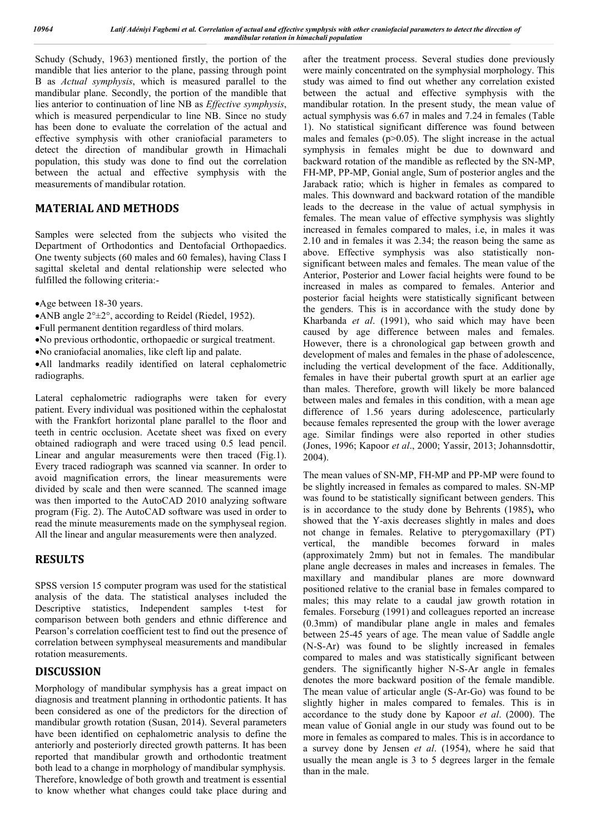Schudy (Schudy, 1963) mentioned firstly, the portion of the mandible that lies anterior to the plane, passing through point B as *Actual symphysis*, which is measured parallel to the mandibular plane. Secondly, the portion of the mandible that lies anterior to continuation of line NB as *Effective symphysis*, which is measured perpendicular to line NB. Since no study has been done to evaluate the correlation of the actual and effective symphysis with other craniofacial parameters to detect the direction of mandibular growth in Himachali population, this study was done to find out the correlation between the actual and effective symphysis with the measurements of mandibular rotation.

## **MATERIAL AND METHODS**

Samples were selected from the subjects who visited the Department of Orthodontics and Dentofacial Orthopaedics. One twenty subjects (60 males and 60 females), having Class I sagittal skeletal and dental relationship were selected who fulfilled the following criteria:-

Age between 18-30 years.

- ANB angle  $2^{\circ} \pm 2^{\circ}$ , according to Reidel (Riedel, 1952).
- Full permanent dentition regardless of third molars.
- No previous orthodontic, orthopaedic or surgical treatment.

No craniofacial anomalies, like cleft lip and palate.

All landmarks readily identified on lateral cephalometric radiographs.

Lateral cephalometric radiographs were taken for every patient. Every individual was positioned within the cephalostat with the Frankfort horizontal plane parallel to the floor and teeth in centric occlusion. Acetate sheet was fixed on every obtained radiograph and were traced using 0.5 lead pencil. Linear and angular measurements were then traced (Fig.1). Every traced radiograph was scanned via scanner. In order to avoid magnification errors, the linear measurements were divided by scale and then were scanned. The scanned image was then imported to the AutoCAD 2010 analyzing software program (Fig. 2). The AutoCAD software was used in order to read the minute measurements made on the symphyseal region. All the linear and angular measurements were then analyzed.

## **RESULTS**

SPSS version 15 computer program was used for the statistical analysis of the data. The statistical analyses included the Descriptive statistics, Independent samples t-test for comparison between both genders and ethnic difference and Pearson's correlation coefficient test to find out the presence of correlation between symphyseal measurements and mandibular rotation measurements.

#### **DISCUSSION**

Morphology of mandibular symphysis has a great impact on diagnosis and treatment planning in orthodontic patients. It has been considered as one of the predictors for the direction of mandibular growth rotation (Susan, 2014). Several parameters have been identified on cephalometric analysis to define the anteriorly and posteriorly directed growth patterns. It has been reported that mandibular growth and orthodontic treatment both lead to a change in morphology of mandibular symphysis. Therefore, knowledge of both growth and treatment is essential to know whether what changes could take place during and

after the treatment process. Several studies done previously were mainly concentrated on the symphysial morphology. This study was aimed to find out whether any correlation existed between the actual and effective symphysis with the mandibular rotation. In the present study, the mean value of actual symphysis was 6.67 in males and 7.24 in females (Table 1). No statistical significant difference was found between males and females  $(p>0.05)$ . The slight increase in the actual symphysis in females might be due to downward and backward rotation of the mandible as reflected by the SN-MP, FH-MP, PP-MP, Gonial angle, Sum of posterior angles and the Jaraback ratio; which is higher in females as compared to males. This downward and backward rotation of the mandible leads to the decrease in the value of actual symphysis in females. The mean value of effective symphysis was slightly increased in females compared to males, i.e, in males it was 2.10 and in females it was 2.34; the reason being the same as above. Effective symphysis was also statistically nonsignificant between males and females. The mean value of the Anterior, Posterior and Lower facial heights were found to be increased in males as compared to females. Anterior and posterior facial heights were statistically significant between the genders. This is in accordance with the study done by Kharbanda *et al*. (1991), who said which may have been caused by age difference between males and females. However, there is a chronological gap between growth and development of males and females in the phase of adolescence, including the vertical development of the face. Additionally, females in have their pubertal growth spurt at an earlier age than males. Therefore, growth will likely be more balanced between males and females in this condition, with a mean age difference of 1.56 years during adolescence, particularly because females represented the group with the lower average age. Similar findings were also reported in other studies (Jones, 1996; Kapoor *et al*., 2000; Yassir, 2013; Johannsdottir, 2004).

The mean values of SN-MP, FH-MP and PP-MP were found to be slightly increased in females as compared to males. SN-MP was found to be statistically significant between genders. This is in accordance to the study done by Behrents (1985)**,** who showed that the Y-axis decreases slightly in males and does not change in females. Relative to pterygomaxillary (PT) vertical, the mandible becomes forward in males (approximately 2mm) but not in females. The mandibular plane angle decreases in males and increases in females. The maxillary and mandibular planes are more downward positioned relative to the cranial base in females compared to males; this may relate to a caudal jaw growth rotation in females. Forseburg (1991) and colleagues reported an increase (0.3mm) of mandibular plane angle in males and females between 25-45 years of age. The mean value of Saddle angle (N-S-Ar) was found to be slightly increased in females compared to males and was statistically significant between genders. The significantly higher N-S-Ar angle in females denotes the more backward position of the female mandible. The mean value of articular angle (S-Ar-Go) was found to be slightly higher in males compared to females. This is in accordance to the study done by Kapoor *et al*. (2000). The mean value of Gonial angle in our study was found out to be more in females as compared to males. This is in accordance to a survey done by Jensen *et al*. (1954), where he said that usually the mean angle is 3 to 5 degrees larger in the female than in the male.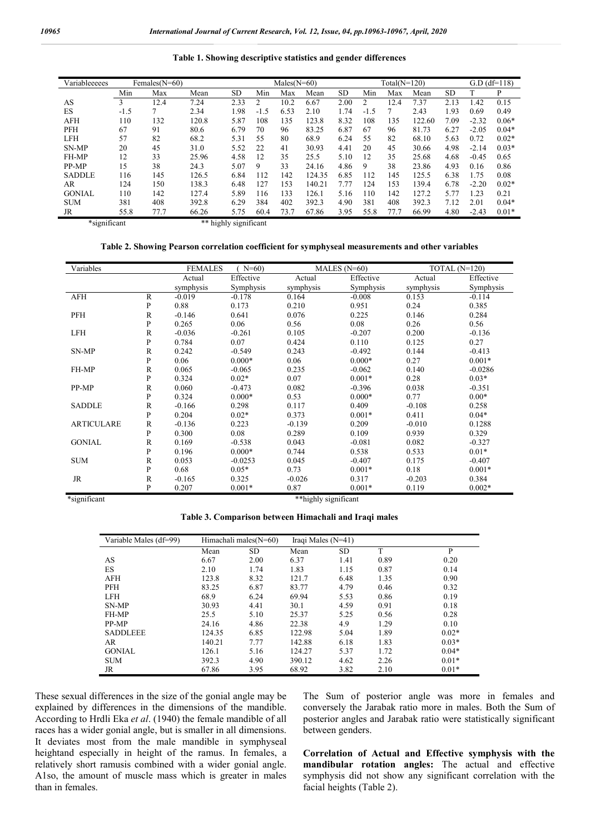**Table 1. Showing descriptive statistics and gender differences**

| Variableeeees | Females $(N=60)$ |      |                       |           | $Males(N=60)$ |      |        |           | Total $(N=120)$ |      |        | $G.D$ $(df=118)$ |         |         |
|---------------|------------------|------|-----------------------|-----------|---------------|------|--------|-----------|-----------------|------|--------|------------------|---------|---------|
|               | Min              | Max  | Mean                  | <b>SD</b> | Min           | Max  | Mean   | <b>SD</b> | Min             | Max  | Mean   | SD               |         | P       |
| AS            | 3                | 12.4 | 7.24                  | 2.33      | 2             | 10.2 | 6.67   | 2.00      | 2               | 12.4 | 7.37   | 2.13             | 1.42    | 0.15    |
| ES            | $-1.5$           |      | 2.34                  | 1.98      | $-1.5$        | 6.53 | 2.10   | 1.74      | $-1.5$          |      | 2.43   | 1.93             | 0.69    | 0.49    |
| <b>AFH</b>    | 110              | 132  | 120.8                 | 5.87      | 108           | 135  | 123.8  | 8.32      | 108             | 135  | 122.60 | 7.09             | $-2.32$ | $0.06*$ |
| <b>PFH</b>    | 67               | 91   | 80.6                  | 6.79      | 70            | 96   | 83.25  | 6.87      | 67              | 96   | 81.73  | 6.27             | $-2.05$ | $0.04*$ |
| <b>LFH</b>    | 57               | 82   | 68.2                  | 5.31      | 55            | 80   | 68.9   | 6.24      | 55              | 82   | 68.10  | 5.63             | 0.72    | $0.02*$ |
| SN-MP         | 20               | 45   | 31.0                  | 5.52      | 22            | 41   | 30.93  | 4.41      | 20              | 45   | 30.66  | 4.98             | $-2.14$ | $0.03*$ |
| FH-MP         | 12               | 33   | 25.96                 | 4.58      | 12            | 35   | 25.5   | 5.10      | 12              | 35   | 25.68  | 4.68             | $-0.45$ | 0.65    |
| PP-MP         | 15               | 38   | 24.3                  | 5.07      | 9             | 33   | 24.16  | 4.86      | 9               | 38   | 23.86  | 4.93             | 0.16    | 0.86    |
| <b>SADDLE</b> | 116              | 145  | 126.5                 | 6.84      | 112           | 142  | 124.35 | 6.85      | 112             | 145  | 125.5  | 6.38             | 1.75    | 0.08    |
| AR            | 124              | 150  | 138.3                 | 6.48      | 127           | 153  | 140.21 | 7.77      | 124             | 153  | 139.4  | 6.78             | $-2.20$ | $0.02*$ |
| <b>GONIAL</b> | 110              | 142  | 127.4                 | 5.89      | 116           | 133  | 126.1  | 5.16      | 110             | 142  | 127.2  | 5.77             | 1.23    | 0.21    |
| <b>SUM</b>    | 381              | 408  | 392.8                 | 6.29      | 384           | 402  | 392.3  | 4.90      | 381             | 408  | 392.3  | 7.12             | 2.01    | $0.04*$ |
| JR            | 55.8             | 77.7 | 66.26                 | 5.75      | 60.4          | 73.7 | 67.86  | 3.95      | 55.8            | 77.7 | 66.99  | 4.80             | $-2.43$ | $0.01*$ |
| *significant  |                  |      | ** highly significant |           |               |      |        |           |                 |      |        |                  |         |         |

**Table 2. Showing Pearson correlation coefficient for symphyseal measurements and other variables**

| Variables         |              | <b>FEMALES</b> | $N=60$ )  |           | MALES $(N=60)$ | TOTAL $(N=120)$ |           |
|-------------------|--------------|----------------|-----------|-----------|----------------|-----------------|-----------|
|                   |              | Actual         | Effective | Actual    | Effective      | Actual          | Effective |
|                   |              | symphysis      | Symphysis | symphysis | Symphysis      | symphysis       | Symphysis |
| <b>AFH</b>        | $\mathbb{R}$ | $-0.019$       | $-0.178$  | 0.164     | $-0.008$       | 0.153           | $-0.114$  |
|                   | P            | 0.88           | 0.173     | 0.210     | 0.951          | 0.24            | 0.385     |
| PFH               | $\mathbb{R}$ | $-0.146$       | 0.641     | 0.076     | 0.225          | 0.146           | 0.284     |
|                   | P            | 0.265          | 0.06      | 0.56      | 0.08           | 0.26            | 0.56      |
| <b>LFH</b>        | $\mathbb{R}$ | $-0.036$       | $-0.261$  | 0.105     | $-0.207$       | 0.200           | $-0.136$  |
|                   | P            | 0.784          | 0.07      | 0.424     | 0.110          | 0.125           | 0.27      |
| SN-MP             | $\mathbb{R}$ | 0.242          | $-0.549$  | 0.243     | $-0.492$       | 0.144           | $-0.413$  |
|                   | P            | 0.06           | $0.000*$  | 0.06      | $0.000*$       | 0.27            | $0.001*$  |
| FH-MP             | $\mathbb{R}$ | 0.065          | $-0.065$  | 0.235     | $-0.062$       | 0.140           | $-0.0286$ |
|                   | $\mathbf{P}$ | 0.324          | $0.02*$   | 0.07      | $0.001*$       | 0.28            | $0.03*$   |
| PP-MP             | $\mathbb{R}$ | 0.060          | $-0.473$  | 0.082     | $-0.396$       | 0.038           | $-0.351$  |
|                   | $\mathbf{P}$ | 0.324          | $0.000*$  | 0.53      | $0.000*$       | 0.77            | $0.00*$   |
| <b>SADDLE</b>     | $\mathbb{R}$ | $-0.166$       | 0.298     | 0.117     | 0.409          | $-0.108$        | 0.258     |
|                   | $\mathbf{P}$ | 0.204          | $0.02*$   | 0.373     | $0.001*$       | 0.411           | $0.04*$   |
| <b>ARTICULARE</b> | $\mathbb{R}$ | $-0.136$       | 0.223     | $-0.139$  | 0.209          | $-0.010$        | 0.1288    |
|                   | P            | 0.300          | 0.08      | 0.289     | 0.109          | 0.939           | 0.329     |
| <b>GONIAL</b>     | $\mathbb{R}$ | 0.169          | $-0.538$  | 0.043     | $-0.081$       | 0.082           | $-0.327$  |
|                   | P            | 0.196          | $0.000*$  | 0.744     | 0.538          | 0.533           | $0.01*$   |
| <b>SUM</b>        | $\mathbb{R}$ | 0.053          | $-0.0253$ | 0.045     | $-0.407$       | 0.175           | $-0.407$  |
|                   | P            | 0.68           | $0.05*$   | 0.73      | $0.001*$       | 0.18            | $0.001*$  |
| JR                | $\mathbb{R}$ | $-0.165$       | 0.325     | $-0.026$  | 0.317          | $-0.203$        | 0.384     |
|                   | P            | 0.207          | $0.001*$  | 0.87      | $0.001*$       | 0.119           | $0.002*$  |

\*significant \*\*highly significant

**Table 3. Comparison between Himachali and Iraqi males**

| Variable Males (df=99) |        | Himachali males $(N=60)$ | Iraqi Males $(N=41)$ |      |      |         |
|------------------------|--------|--------------------------|----------------------|------|------|---------|
|                        | Mean   | SD                       | Mean                 | SD.  | T    | P       |
| AS                     | 6.67   | 2.00                     | 6.37                 | 1.41 | 0.89 | 0.20    |
| ES                     | 2.10   | 1.74                     | 1.83                 | 1.15 | 0.87 | 0.14    |
| <b>AFH</b>             | 123.8  | 8.32                     | 121.7                | 6.48 | 1.35 | 0.90    |
| PFH                    | 83.25  | 6.87                     | 83.77                | 4.79 | 0.46 | 0.32    |
| <b>LFH</b>             | 68.9   | 6.24                     | 69.94                | 5.53 | 0.86 | 0.19    |
| SN-MP                  | 30.93  | 4.41                     | 30.1                 | 4.59 | 0.91 | 0.18    |
| FH-MP                  | 25.5   | 5.10                     | 25.37                | 5.25 | 0.56 | 0.28    |
| PP-MP                  | 24.16  | 4.86                     | 22.38                | 4.9  | 1.29 | 0.10    |
| <b>SADDLEEE</b>        | 124.35 | 6.85                     | 122.98               | 5.04 | 1.89 | $0.02*$ |
| AR                     | 140.21 | 7.77                     | 142.88               | 6.18 | 1.83 | $0.03*$ |
| <b>GONIAL</b>          | 126.1  | 5.16                     | 124.27               | 5.37 | 1.72 | $0.04*$ |
| <b>SUM</b>             | 392.3  | 4.90                     | 390.12               | 4.62 | 2.26 | $0.01*$ |
| JR                     | 67.86  | 3.95                     | 68.92                | 3.82 | 2.10 | $0.01*$ |

These sexual differences in the size of the gonial angle may be explained by differences in the dimensions of the mandible. According to Hrdli Eka *et al*. (1940) the female mandible of all races has a wider gonial angle, but is smaller in all dimensions. It deviates most from the male mandible in symphyseal heightand especially in height of the ramus. In females, a relatively short ramusis combined with a wider gonial angle. A1so, the amount of muscle mass which is greater in males than in females.

The Sum of posterior angle was more in females and conversely the Jarabak ratio more in males. Both the Sum of posterior angles and Jarabak ratio were statistically significant between genders.

**Correlation of Actual and Effective symphysis with the mandibular rotation angles:** The actual and effective symphysis did not show any significant correlation with the facial heights (Table 2).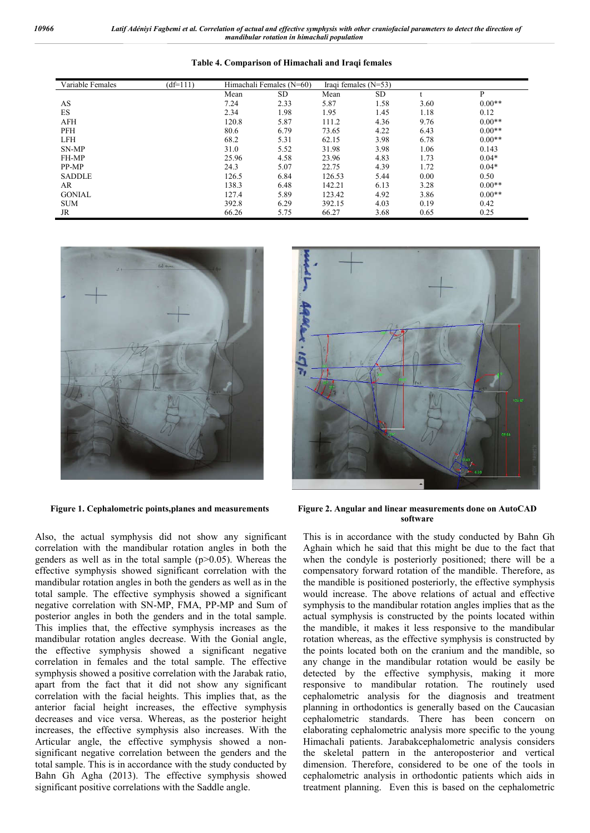| Variable Females | $(df=111)$ | Himachali Females (N=60) |           | Iraqi females $(N=53)$ |      |      |          |
|------------------|------------|--------------------------|-----------|------------------------|------|------|----------|
|                  |            | Mean                     | <b>SD</b> | Mean                   | SD   |      | P        |
| AS               |            | 7.24                     | 2.33      | 5.87                   | 1.58 | 3.60 | $0.00**$ |
| <b>ES</b>        |            | 2.34                     | 1.98      | 1.95                   | 1.45 | 1.18 | 0.12     |
| <b>AFH</b>       |            | 120.8                    | 5.87      | 111.2                  | 4.36 | 9.76 | $0.00**$ |
| PFH              |            | 80.6                     | 6.79      | 73.65                  | 4.22 | 6.43 | $0.00**$ |
| <b>LFH</b>       |            | 68.2                     | 5.31      | 62.15                  | 3.98 | 6.78 | $0.00**$ |
| SN-MP            |            | 31.0                     | 5.52      | 31.98                  | 3.98 | 1.06 | 0.143    |
| FH-MP            |            | 25.96                    | 4.58      | 23.96                  | 4.83 | 1.73 | $0.04*$  |
| PP-MP            |            | 24.3                     | 5.07      | 22.75                  | 4.39 | 1.72 | $0.04*$  |
| <b>SADDLE</b>    |            | 126.5                    | 6.84      | 126.53                 | 5.44 | 0.00 | 0.50     |
| AR               |            | 138.3                    | 6.48      | 142.21                 | 6.13 | 3.28 | $0.00**$ |
| <b>GONIAL</b>    |            | 127.4                    | 5.89      | 123.42                 | 4.92 | 3.86 | $0.00**$ |
| <b>SUM</b>       |            | 392.8                    | 6.29      | 392.15                 | 4.03 | 0.19 | 0.42     |
| JR               |            | 66.26                    | 5.75      | 66.27                  | 3.68 | 0.65 | 0.25     |

#### **Table 4. Comparison of Himachali and Iraqi females**



Also, the actual symphysis did not show any significant correlation with the mandibular rotation angles in both the genders as well as in the total sample  $(p>0.05)$ . Whereas the effective symphysis showed significant correlation with the mandibular rotation angles in both the genders as well as in the total sample. The effective symphysis showed a significant negative correlation with SN-MP, FMA, PP-MP and Sum of posterior angles in both the genders and in the total sample. This implies that, the effective symphysis increases as the mandibular rotation angles decrease. With the Gonial angle, the effective symphysis showed a significant negative correlation in females and the total sample. The effective symphysis showed a positive correlation with the Jarabak ratio, apart from the fact that it did not show any significant correlation with the facial heights. This implies that, as the anterior facial height increases, the effective symphysis decreases and vice versa. Whereas, as the posterior height increases, the effective symphysis also increases. With the Articular angle, the effective symphysis showed a nonsignificant negative correlation between the genders and the total sample. This is in accordance with the study conducted by Bahn Gh Agha (2013). The effective symphysis showed significant positive correlations with the Saddle angle.



**Figure 1. Cephalometric points,planes and measurements Figure 2. Angular and linear measurements done on AutoCAD software**

This is in accordance with the study conducted by Bahn Gh Aghain which he said that this might be due to the fact that when the condyle is posteriorly positioned; there will be a compensatory forward rotation of the mandible. Therefore, as the mandible is positioned posteriorly, the effective symphysis would increase. The above relations of actual and effective symphysis to the mandibular rotation angles implies that as the actual symphysis is constructed by the points located within the mandible, it makes it less responsive to the mandibular rotation whereas, as the effective symphysis is constructed by the points located both on the cranium and the mandible, so any change in the mandibular rotation would be easily be detected by the effective symphysis, making it more responsive to mandibular rotation. The routinely used cephalometric analysis for the diagnosis and treatment planning in orthodontics is generally based on the Caucasian cephalometric standards. There has been concern on elaborating cephalometric analysis more specific to the young Himachali patients. Jarabakcephalometric analysis considers the skeletal pattern in the anteroposterior and vertical dimension. Therefore, considered to be one of the tools in cephalometric analysis in orthodontic patients which aids in treatment planning. Even this is based on the cephalometric